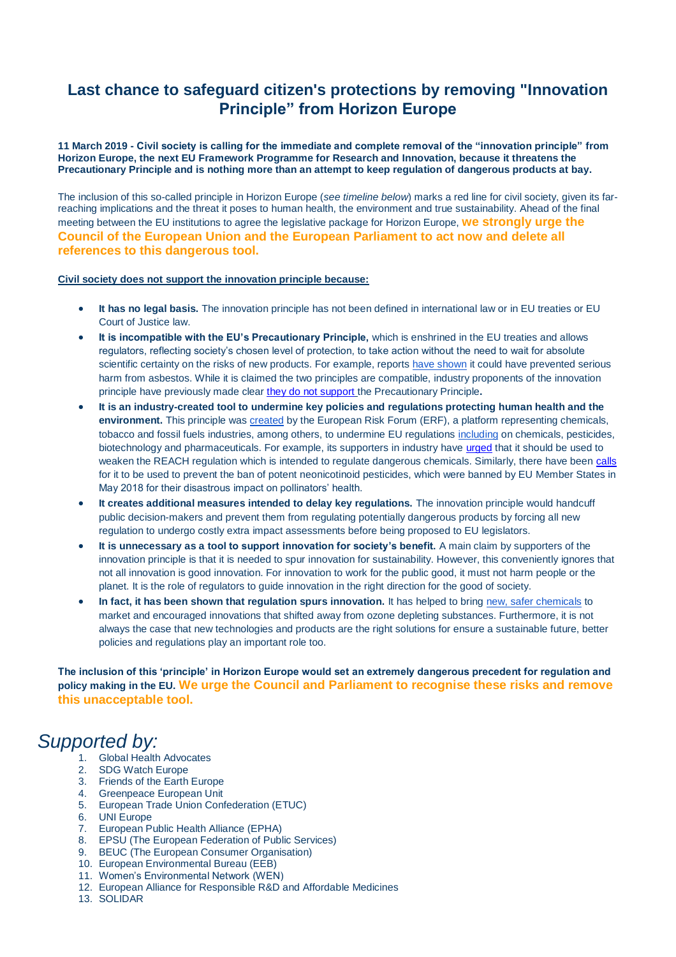## **Last chance to safeguard citizen's protections by removing "Innovation Principle" from Horizon Europe**

**11 March 2019 - Civil society is calling for the immediate and complete removal of the "innovation principle" from Horizon Europe, the next EU Framework Programme for Research and Innovation, because it threatens the Precautionary Principle and is nothing more than an attempt to keep regulation of dangerous products at bay.**

The inclusion of this so-called principle in Horizon Europe (*see timeline below*) marks a red line for civil society, given its farreaching implications and the threat it poses to human health, the environment and true sustainability. Ahead of the final meeting between the EU institutions to agree the legislative package for Horizon Europe, **we strongly urge the Council of the European Union and the European Parliament to act now and delete all references to this dangerous tool.**

### **Civil society does not support the innovation principle because:**

- **It has no legal basis.** The innovation principle has not been defined in international law or in EU treaties or EU Court of Justice law.
- **It is incompatible with the EU's Precautionary Principle,** which is enshrined in the EU treaties and allows regulators, reflecting society's chosen level of protection, to take action without the need to wait for absolute scientific certainty on the risks of new products. For example, reports [have shown](https://www.eea.europa.eu/.../environmental_issue_report...22/Issue_Report_No_22.pdf) it could have prevented serious harm from asbestos. While it is claimed the two principles are compatible, industry proponents of the innovation principle have previously made clear [they do not support](http://www.epc.eu/documents/uploads/668109152_EPC%20Working%20Paper%2017%20Enhancing%20the%20role%20of%20science%20in%20EU%20decision%20making%20(revised).pdf?doc_id=41) the Precautionary Principle**.**
- **It is an industry-created tool to undermine key policies and regulations protecting human health and the environment.** This principle was [created](https://corporateeurope.org/environment/2018/12/innovation-principle-trap) by the European Risk Forum (ERF), a platform representing chemicals, tobacco and fossil fuels industries, among others, to undermine EU regulations [including](https://corporateeurope.org/sites/default/files/attachments/1a_flash_report_20_june_2017_redacted.pdf) on chemicals, pesticides, biotechnology and pharmaceuticals. For example, its supporters in industry have [urged](https://corporateeurope.org/sites/default/files/attachments/8._erf_meeting_and_innovation_principle_redacted.pdf.pdf) that it should be used to weaken the REACH regulation which is intended to regulate dangerous chemicals. Similarly, there have been [calls](https://www.agribusinessglobal.com/markets/eu-neonicotinoid-ban-removes-vital-tools-in-global-fight-against-pests/) for it to be used to prevent the ban of potent neonicotinoid pesticides, which were banned by EU Member States in May 2018 for their disastrous impact on pollinators' health.
- **It creates additional measures intended to delay key regulations.** The innovation principle would handcuff public decision-makers and prevent them from regulating potentially dangerous products by forcing all new regulation to undergo costly extra impact assessments before being proposed to EU legislators.
- **It is unnecessary as a tool to support innovation for society's benefit.** A main claim by supporters of the innovation principle is that it is needed to spur innovation for sustainability. However, this conveniently ignores that not all innovation is good innovation. For innovation to work for the public good, it must not harm people or the planet. It is the role of regulators to guide innovation in the right direction for the good of society.
- **In fact, it has been shown that regulation spurs innovation.** It has helped to bring [new, safer chemicals](https://www.ciel.org/news/stronger-laws-for-hazardous-chemicals-spur-innovation/) to market and encouraged innovations that shifted away from ozone depleting substances. Furthermore, it is not always the case that new technologies and products are the right solutions for ensure a sustainable future, better policies and regulations play an important role too.

**The inclusion of this 'principle' in Horizon Europe would set an extremely dangerous precedent for regulation and policy making in the EU. We urge the Council and Parliament to recognise these risks and remove this unacceptable tool.** 

# *Supported by:*

- 1. Global Health Advocates
- 2. SDG Watch Europe
- 3. Friends of the Earth Europe
- 4. Greenpeace European Unit
- 5. European Trade Union Confederation (ETUC)
- 6. UNI Europe
- 7. European Public Health Alliance (EPHA)
- 8. EPSU (The European Federation of Public Services)
- 9. BEUC (The European Consumer Organisation)
- 10. European Environmental Bureau (EEB)
- 11. Women's Environmental Network (WEN)
- 12. European Alliance for Responsible R&D and Affordable Medicines
- 13. SOLIDAR